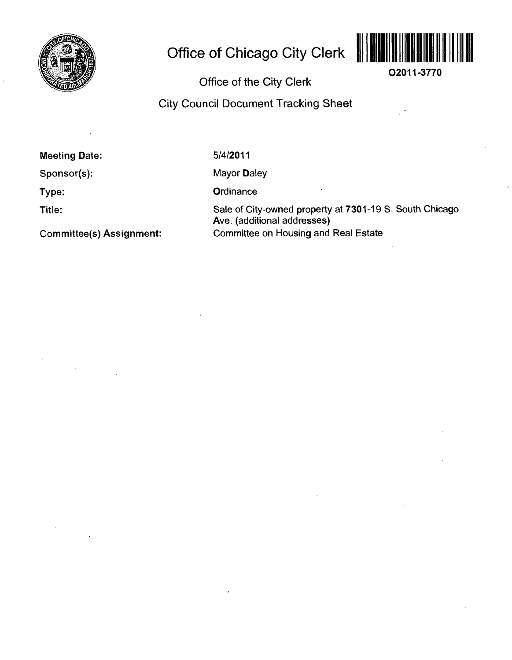

# **Office of Chicago City Clerk ||||||||||||||||||||||||||||||||||**



**O2011-3770** 

# **Office of the City Clerk**

# **City Council Document Tracking Sheet**

**Meeting Date:** 

5/4/2011

**Sponsor(s):** 

**Type:** 

**Title:** 

Mayor Daley

**Ordinance** 

Sale of City-owned property at 7301-19 S. South Chicago Ave. (additional addresses) Committee on Housing and Real Estate

**Committee(s) Assignment:**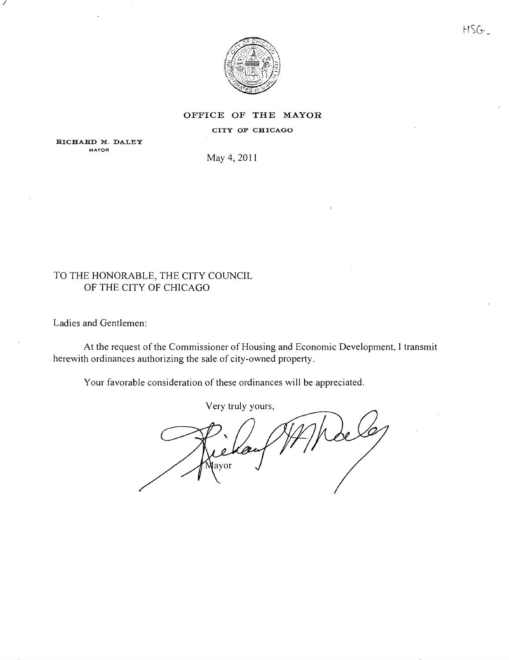

#### **OFFICE OF THE MAYOR**

CITY OF CHICAGO

RICHARD M. DALEY **MAYOR** 

May 4,2011

## TO THE HONORABLE, THE CITY COUNCIL OF THE CITY OF CHICAGO

Ladies and Gentlemen:

At the request of the Commissioner of Housing and Economic Development, 1 transmit herewith ordinances authorizing the sale of city-owned property.

Your favorable consideration of these ordinances will be appreciated.

Very truly yours. 'ori Mayor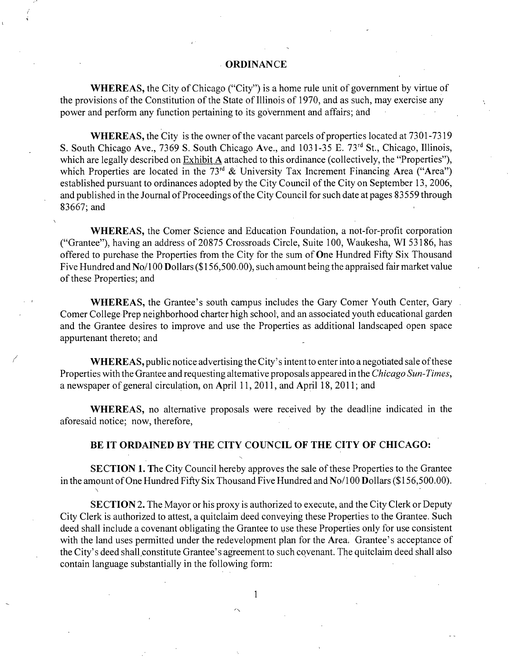#### **ORDINANCE**

WHEREAS, the City of Chicago ("City") is a home rule unit of government by virtue of the provisions of the Constitution of the State of Illinois of 1970, and as such, may exercise any power and perform any function pertaining to its government and affairs; and

WHEREAS, the City is the owner of the vacant parcels of properties located at 7301 -7319 S. South Chicago Ave., 7369 S. South Chicago Ave., and 1031-35 E. 73<sup>rd</sup> St., Chicago, Illinois, which are legally described on Exhibit A attached to this ordinance (collectively, the "Properties"), which Properties are located in the  $73<sup>rd</sup>$  & University Tax Increment Financing Area ("Area") established pursuant to ordinances adopted by the City Council of the City on September 13, 2006, and published in the Journal of Proceedings of the City Council for such date at pages 83559 through 83667;and

WHEREAS, the Comer Science and Education Foundation, a not-for-profit corporation ("Grantee"), having an address of 20875 Crossroads Circle, Suite 100, Waukesha, WI 53186, has offered to purchase the Properties from the City for the sum of One Hundred Fifty Six Thousand Five Hundred and No/100 Dollars (\$156,500.00), such amount being the appraised fair market value of these Properties; and

WHEREAS, the Grantee's south campus includes the Gary Comer Youth Center, Gary Comer College Prep neighborhood charter high school, and an associated youth educational garden and the Grantee desires to improve and use the Properties as additional landscaped open space appurtenant thereto; and

WHEREAS, public notice advertising the City's intent to enter into a negotiated sale of these Properties with the Grantee and requesting altemative proposals appeared in the Chicago Sun-Times, a newspaper of general circulation, on April 11, 2011, and April 18, 2011; and

WHEREAS, no alternative proposals were received by the deadline indicated in the aforesaid notice; now, therefore,

#### **BE IT ORDAINED BY THE CITY COUNCIL OF THE CITY OF CHICAGO:**

SECTION 1. The City Council hereby approves the sale of these Properties to the Grantee in the amount of One Hundred Fifty Six Thousand Five Hundred and No/100 Dollars (\$156,500.00).

SECTION 2. The Mayor or his proxy is authorized to execute, and the City Clerk or Deputy City Clerk is authorized to attest, a quitclaim deed conveying these Properties to the Grantee. Such deed shall include a covenant obligating the Grantee to use these Properties only for use consistent with the land uses permitted under the redevelopment plan for the Area: Grantee's acceptance of the City's deed shall,constitute Grantee's agreement to such covenant. The quitclaim deed shall also contain language substantially in the following form:

 $\mathbf{1}$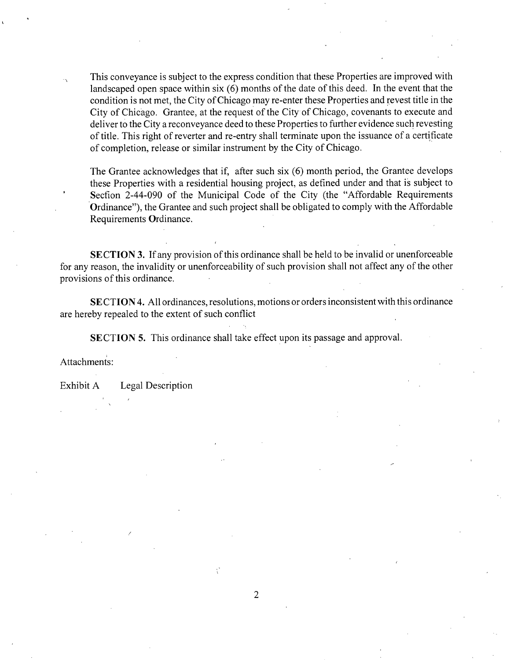This conveyance is subject to the express condition that these Properties are improved with landscaped open space within six (6) months of the date of this deed. In the event that the condition is not met, the City of Chicago may re-enter these Properties and revest title in the City of Chicago. Grantee, at the request of the City of Chicago, covenants to execute and deliver to the City a reconveyance deed to these Properties to further evidence such revesting of title. This right of reverter and re-entry shall terminate upon the issuance of a certificate of completion, release or similar instrument by the City of Chicago.

The Grantee acknowledges that if, after such six (6) month period, the Grantee develops these Properties with a residential housing project, as defined under and that is subject to Secfion 2-44-090 of the Municipal Code of the City (the "Affordable Requirements Ordinance"), the Grantee and such project shall be obligated to comply with the Affordable Requirements Ordinance.

SECTION 3. If any provision of this ordinance shall be held to be invalid or unenforceable for any reason, the invalidity or unenforceability of such provision shall not affect any of the other provisions of this ordinance.

SECTION 4. All ordinances, resolutions, motions or orders inconsistent with this ordinance are hereby repealed to the extent of such conflict

SECTION 5. This ordinance shall take effect upon its passage and approval.

Attachments:

Exhibit A Legal Description

 $\overline{2}$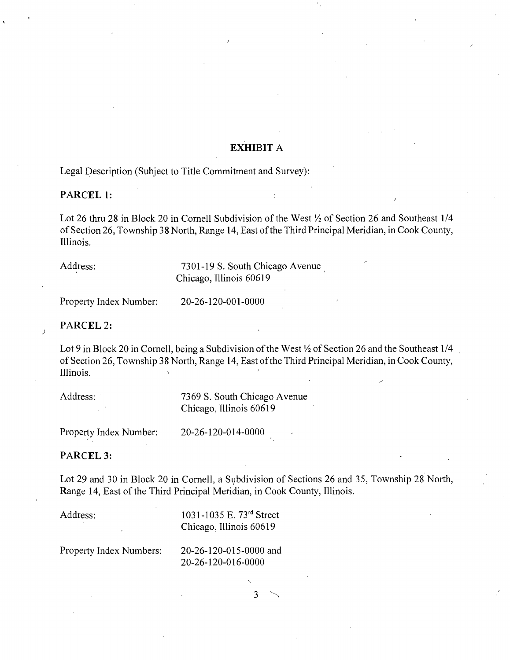# **EXHIBIT A**

**Legal Description (Subject to Title Commitment and Survey):** 

#### **PARCEL 1:**

Lot 26 thru 28 in Block 20 in Cornell Subdivision of the West  $\frac{1}{2}$  of Section 26 and Southeast 1/4 of Section 26, Township 38 North, Range 14, East of the Third Principal Meridian, in Cook County, Illinois.

Address: 7301-19 S. South Chicago Avenue  $C_{\alpha}$ 

Property Index Number: 20-26-120-001-0000 Property Index Number: 20-26-120-001 -0000

PARCEL 2:

 $\mathcal{L}$ 

Lot 9 in Block 20 in Cornell, being a Subdivision of the West  $\frac{1}{2}$  of Section 26 and the Southeast 1/4 of Section 26, Township 38 North, Range 14, East of the Third Principal Meridian, in Cook County, Illinois. ^ '

| Address: | 7369 S. South Chicago Avenue |
|----------|------------------------------|
|          | Chicago, Illinois 60619      |
|          |                              |

Property Index Number: 20-26-120-014-0000

PARCEL<sub>3</sub>:

Lot 29 and 30 in Block 20 in Cornell, a Subdivision of Sections 26 and 35, Township 28 North, Range 14, East of the Third Principal Meridian, in Cook County, Illinois.

Address: 1031-1035 E. 73<sup>rd</sup> Street Chicago, Illinois 60619

Property Index Numbers: 20-26-120-015-0000 and 20-26-120-016-0000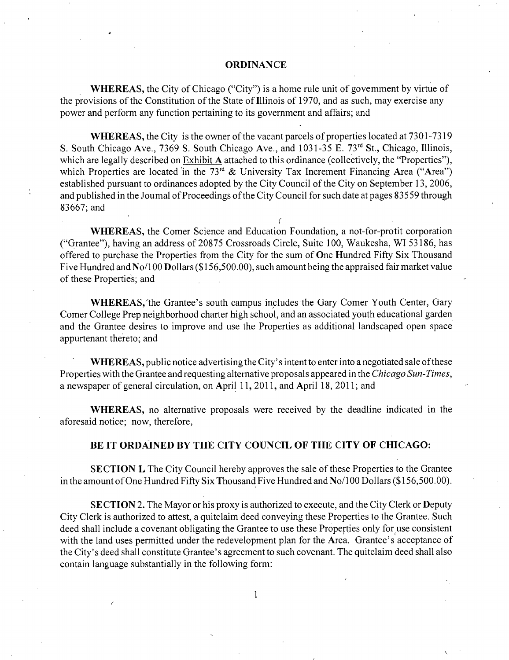#### **ORDINANCE**

WHEREAS, the City of Chicago ("City") is a home rule unit of govemment by virtue of the provisions of the Consfitution of the State of Illinois of 1970, and as such, may exercise any power and perform any function pertaining to its government and affairs; and

WHEREAS, the City is the owner of the vacant parcels of properties located at 7301-7319 S. South Chicago Ave., 7369 S. South Chicago Ave., and 1031-35 E. 73<sup>rd</sup> St., Chicago, Illinois, which are legally described on Exhibit A attached to this ordinance (collectively, the "Properties"), which Properties are located in the  $73<sup>rd</sup>$  & University Tax Increment Financing Area ("Area") established pursuant to ordinances adopted by the City Council of the City on September 13, 2006, and published in the Joumal of Proceedings of the City Council for such date at pages 83559 through 83667;and

**r**  WHEREAS, the Comer Science and Education Foundation, a not-for-protit corporation ("Grantee"), having an address of 20875 Crossroads Circle, Suite 100, Waukesha, WI 53186, has offered to purchase the Properties from the City for the sum of One Hundred Fifty Six Thousand Five Hundred and No/100 Dollars (\$156,500.00), such amount being the appraised fair market value of these Properties; and

WHEREAS, the Grantee's south campus includes the Gary Comer Youth Center, Gary Comer College Prep neighborhood charter high school, and an associated youth educational garden and the Grantee desires to improve and use the Properties as additional landscaped open space appurtenant thereto; and

WHEREAS, public notice advertising the City's intent to enter into a negotiated sale of these Properties with the Grantee and requesting alternative proposals appeared in the Chicago Sun-Times, a newspaper of general circulation, on April 11, 2011, and April 18, 2011; and

WHEREAS, no alternative proposals were received by the deadline indicated in the aforesaid notice; now, therefore,

#### **BE IT ORDAINED BY THE CITY COUNCIL OF THE CITY OF CHICAGO:**

SECTION L The City Council hereby approves the sale of these Properties to the Grantee in the amount of One Hundred Fifty Six Thousand Five Hundred and No/100 Dollars (\$156,500.00).

SECTION 2. The Mayor or his proxy is authorized to execute, and the City Clerk or Deputy City Clerk is authorized to attest, a quitclaim deed conveying these Properties to the Grantee, Such deed shall include a covenant obligating the Grantee to use these Properties only for use consistent with the land uses permitted under the redevelopment plan for the Area. Grantee's acceptance of the City's deed shall constitute Grantee's agreement to such covenant. The quitclaim deed shall also contain language substantially in the following form: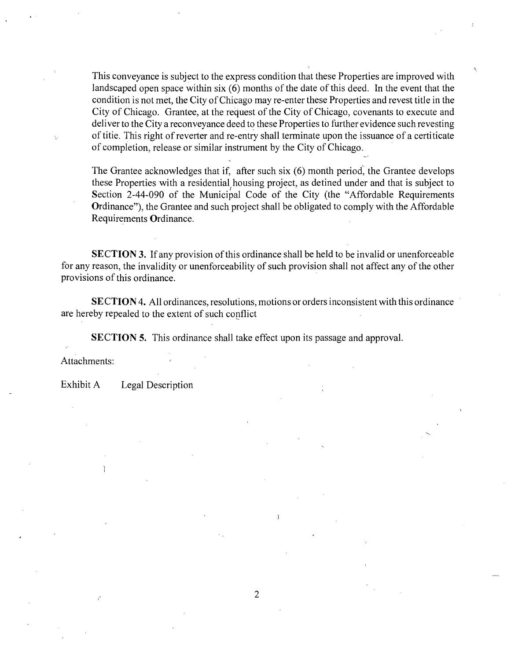This conveyance is subject to the express condition that these Properties are improved with landscaped open space within six (6) months of the date of this deed. In the event that the condition is not met, the City of Chicago may re-enter these Properties and revest title in the City of Chicago. Grantee, at the request of the City of Chicago, covenants to execute and deliver to the City a reconveyance deed to these Properties to further evidence such revesting of tifie. This right of reverter and re-entry shall terminate upon the issuance of a certificate of completion, release or similar instrument by the City of Chicago.

The Grantee acknowledges that if, after such six (6) month period, the Grantee develops these Properties with a residential housing project, as detined under and that is subject to Section 2-44-090 of the Municipal Code of the City (the "Affordable Requirements Ordinance"), the Grantee and such project shall be obligated to comply with the Affordable Requirements Ordinance.

SECTION 3. If any provision of this ordinance shall be held to be invalid or unenforceable for any reason, the invalidity or unenforceability of such provision shall not affect any of the other provisions of this ordinance.

SECTION 4. All ordinances, resolutions, motions or orders inconsistent with this ordinance are hereby repealed to the extent of such conflict

SECTION 5. This ordinance shall take effect upon its passage and approval.

Attachments:

Exhibit A Legal Description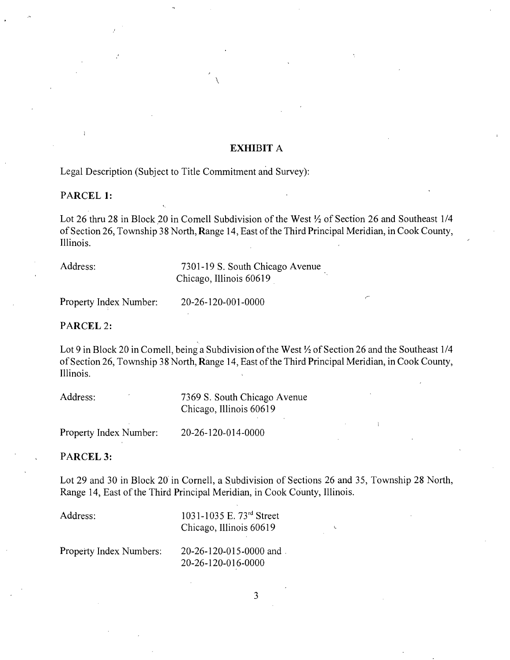#### EXHIBIT A

**Legal Description (Subject to Title Commitment and Survey):** 

#### **PARCEL 1:**

Lot 26 thru 28 in Block 20 in Comell Subdivision of the West  $\frac{1}{2}$  of Section 26 and Southeast 1/4 of Section 26, Township 38 North, Range 14, East of the Third Principal Meridian, in Cook County, Illinois.

Address: 7301-19 S. South Chicago Avenue

 $C_{\alpha}$ 

20-26-120-001-0000 Property Index Number: 20-26-120-001 -0000

**PARCEL 2:** 

Lot 9 in Block 20 in Comell, being a Subdivision of the West  $\frac{1}{2}$  of Section 26 and the Southeast 1/4 of Secfion 26, Township 38 North, Range 14, East of the Third Principal Meridian, in Cook County, Illinois.

| Address: | 7369 S. South Chicago Avenue |
|----------|------------------------------|
|          | Chicago, Illinois 60619      |

20-26-120-014-0000 **Property Index Number: 20-26-120-014-0000** 

PARCEL<sub>3</sub>:

Lot 29 and 30 in Block 20 in Cornell, a Subdivision of Sections 26 and 35, Township 28 North, Range 14, East of the Third Principal Meridian, in Cook County, Illinois.

**1** 

| Address:                | 1031-1035 E. 73 <sup>rd</sup> Street<br>Chicago, Illinois 60619 |  |
|-------------------------|-----------------------------------------------------------------|--|
| Property Index Numbers: | $20-26-120-015-0000$ and                                        |  |

20-26-120-016-0000

 $\overline{3}$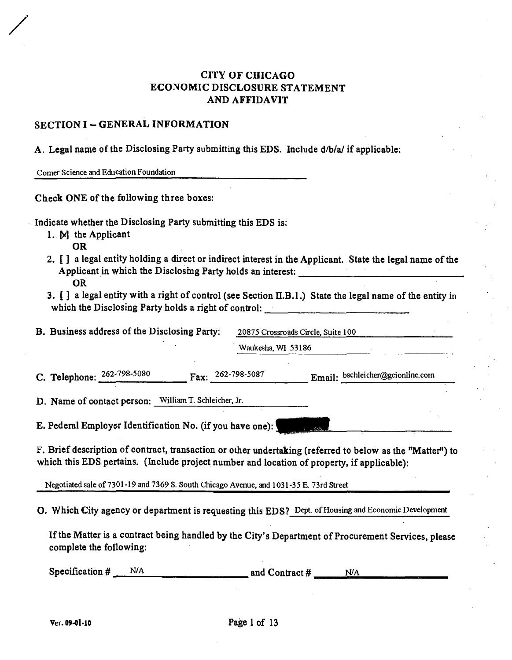# **CITY OF CHICAGO ECONOMIC DISCLOSURE STATEMENT AND AFFIDAVIT**

### **SECTION I - GENERAL INFORMATION**

**A. Legal name of the Disclosing Party submitting this EDS. Include d/b/a/ if applicable:** 

**Comer Science and Education Foundation** 

**Check ONE of the fpllowing three boxes:** 

**Indicate whether the Disclosing Party submitting this EDS is;** 

- **1. M the Applicant** 
	- **OR**
- 2. **[]** a legal entity holding a direct or indirect interest in the Applicant. State the legal name of the Applicant in which the Disclosing Party holds an interest: **OR**
- **3.** [ ] a legal entity with a right of control (see Section II.B.1.) State the legal name of the entity in **which the Disclosing Party holds a right of control:**

| B. Business address of the Disclosing Party: |                              |                            | 20875 Crossroads Circle, Suite 100 |                                  |  |
|----------------------------------------------|------------------------------|----------------------------|------------------------------------|----------------------------------|--|
|                                              |                              |                            | Waukesha, WI 53186                 |                                  |  |
|                                              | C. Telephone: $262-798-5080$ | Fax: $262-798-5087$        |                                    | Email: bschleicher@gcionline.com |  |
|                                              | D. Name of contact person:   | William T. Schleicher, Jr. |                                    |                                  |  |

**E. Pederal Employer Identification No. (if you have one):** 

**F, Brief description of contract, transaction or other undertaking (referred to below as the "Matter") to which this EDS pertains. (Include project number and location of property, if applicable):** 

**Negotiated sale of 7301-19 and 7369 S. South Chicago Avenue, and 1031-35 E. 73rd Street** 

**O, Which City agency or department is requesting this EDS? Dept of Housing and Economic Development** 

If the Matter is a contract being handled by the City's Department of Procurement Services, please **complete the foUowing:** 

| Specification $#$ | N/A | and Contract $#$<br>N/A |  |
|-------------------|-----|-------------------------|--|
|                   |     |                         |  |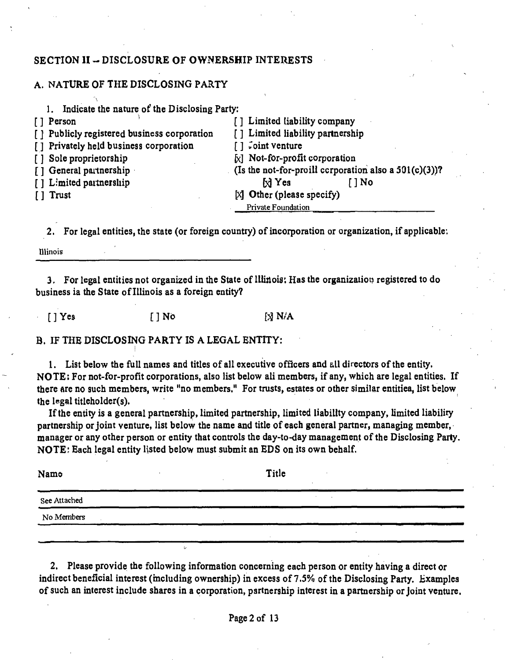#### **SECTION II - DISCLOSURE OF OWNERSHIP INTERESTS**

#### **A. NATURE OF THE DISCLOSING PARTY**

| Indicate the nature of the Disclosing Party:                                     |
|----------------------------------------------------------------------------------|
| [] Limited liability company                                                     |
| [] Limited liability partnership<br>[ ] Publicly registered business corporation |
| $\lceil \cdot \rceil$ do $\lceil \cdot \rceil$ venture                           |
| $\lbrack x \rbrack$ Not-for-profit corporation                                   |
| (Is the not-for-proill corporation also a $501(c)(3)$ )?                         |
| $M$ Yes<br>[ ] No                                                                |
| $[X]$ Other (please specify)                                                     |
| Private Foundation                                                               |
|                                                                                  |

**2. For legal entities, the state (or foreign country) of incorporation or organization, if applicable;** 

**Illinois** 

3. For legal entities not organized in the State of Illinois: Has the organization registered to do **business ia the State of Illinois as a foreign entity?** 

[] Yes [] No [3] N/A

**B. IF THE DISCLOSING PARTY IS A LEGAL ENTITY:** 

1. List below the full names and titles of all executive officers and all directors of the entity. **NOTE: For not-for-profit corporations, also list below ali members, if any, which are legal entities. If**  there are no such members, write "no members." For trusts, estates or other similar entitiea, list below the legal titleholder(s).

If the entity is a general partnership, limited partnership, limited liability company, limited liability **partnership or joint venture, list below the name and title of each general partner, managing member, manager or any other person or entity that controls the day-to-day management ofthe Disclosing Party. NOTE; Each legal entity listed below must submit an EDS on its own behalf.** 

**Nam© Title See Attached No Members** 

**2. Please provide the following information concerning each person or entity having a direct or indirect beneficial interest (mcluding ownership) in excess of 7.5% of the Disclosing Party. Bxamplea ofsuch an interest include shares in a corporation, partnership interest in a partnership or joint venture.** 

**!**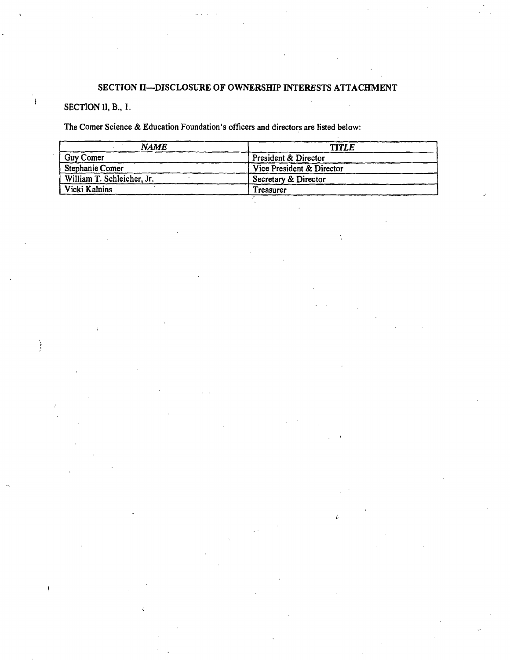#### SECTION II-DISCLOSURE OF OWNERSHIP INTERESTS ATTACHMENT

# SECTION II, B., I.

Ì

Ť

 $\mathbf{I}$ 

The Comer Science & Education Foundation's officers and directors are listed below;

| <b>NAME</b>                | <b>TITLE</b>              |
|----------------------------|---------------------------|
| Guy Comer                  | President & Director      |
| Stephanie Comer            | Vice President & Director |
| William T. Schleicher, Jr. | Secretary & Director      |
| Vicki Kalnins              | Treasurer                 |

 $\iota$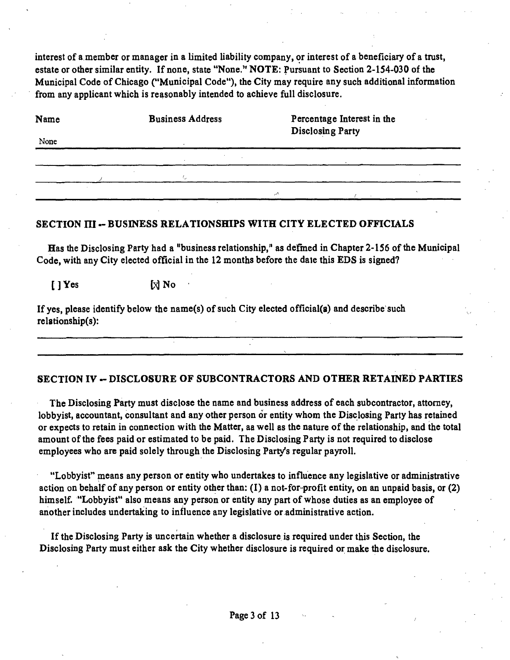interest of a member or manager in a limited liability company, or interest of a beneficiary of a trust, **estate or other similar entity. If none, state "None.\*' NOTE: Pursuant to Section 2-154-030 of the Municipal Code of Chicago ("Municipal Code"), the City may require any such additional information from any applicant which is reasonably intended to achieve full disclosure.** 

| Name | <b>Business Address</b> |    | Percentage Interest in the<br>Disclosing Party |        |  |  |
|------|-------------------------|----|------------------------------------------------|--------|--|--|
| None |                         |    |                                                |        |  |  |
|      |                         |    |                                                |        |  |  |
|      |                         |    |                                                |        |  |  |
|      |                         | ٨. |                                                | $\sim$ |  |  |

#### **SECTION ni - BUSINESS RELATIONSHIPS WITH CITY ELECTED OFFICIALS**

Has the Disclosing Party had a "business relationship," as defined in Chapter 2-156 of the Municipal Code, with any City elected official in the 12 months before the date this EDS is signed?

**[]Yes [j^No** 

**If yes, please identify below the name(s) of such City elected official(8) and describe such rel8tionship(s):** 

#### **SECTION IV - DISCLOSURE OF SUBCONTRACTORS AND OTHER RETAINED PARTIES**

**The Disclosing Party must disclose the name and business address of each subcontractor, attorney,**  lobbyist, accountant, consultant and any other person or entity whom the Disclosing Party has retained **or expects to retain in connection with the Matter, aa well as the nature ofthe relationship, and the total**  amount of the fees paid or estimated to be paid. The Disclosing Party is not required to disclose **employees who are paid solely through the Disclosing Party's regular payroll.** 

**"Lobbyist" means any person or entity who undertakes to influence any legislative or administrative action on behalf of any person or entity other than: (I) a not-for-profit entity, on an unpaid basis, or (2) himself. "Lobbyist" also means any person or entity any part of whose duties as an employee of another includes undertaking to influence any legislative or administrative action.** 

**If the Disclosing Party is uncertain whether a disclosure is required under this Section, the Disclosing Party must either ask the City whether disclosure is required or make the disclosure.**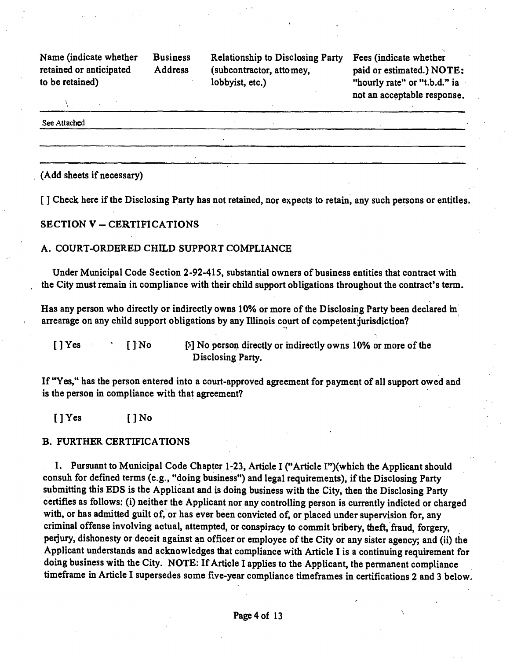**Name (indicate whether Business Relationship to Disclosing Party Fees (indicate whether retained or anticipated Address (subcontractor, attomey, paid or estimated.) NOTE:**  to be retained) lobbyist, etc.) "hourly rate" or "t.b.d.'\* ia

not an acceptable response.

See Attached

(Add sheets if necessary)

[] Check here if the Disclosing Party has not retained, nor expects to retain, any such persons or entitles.

**SECTION V - CERTIFICATIONS** 

#### A. COURT-ORDERED CHILD SUPPORT COMPLIANCE

Under Municipal Code Section 2-92-415, substantial owners of business entities that contract with the City must remain in compliance with their child support obligations throughout the contract's term.

Has any person who directly or indirectly owns 10% or more of the Disclosing Party been declared m arrearage on any child support obligations by any Illinois court of competent jurisdiction?

[] Yes [] No [X] No person directly or indirectly owns 10% or more of the Disclosing Party.

If "Yes," has the person entered into a court-approved agreement for payment of all support owed and is the person in compliance with that agreement?

 $[$   $]$   $Y$ es  $[$   $]$   $N$ o

#### B. FURTHER CERTIFICATIONS

1. Pursuant to Municipal Code Chapter 1-23, Article I ("Article I")(which the Applicant should consuh for defined terms (e.g., "doing business") and legal requirements), if the Disclosing Party submitting this EDS is the Applicant and is doing business with the City, then the Disclosing Party certifies as follows: (i) neither the Applicant nor any controlling person is currently indicted or charged with, or has admitted guilt of, or has ever been convicted of, or placed under supervision for, any criminal offense involving actual, attempted, or conspiracy to commit bribery, theft, fraud, forgery, perjury, dishonesty or deceit against an officer or employee of the City or any sister agency; and (ii) the Applicant understands and acknowledges that compliance with Article I is a continuing requirement for doing business with the City. NOTE: If Article I applies to the Applicant, the permanent compliance timeframe in Article I supersedes some five-year compliance timeframes in certifications 2 and 3 below.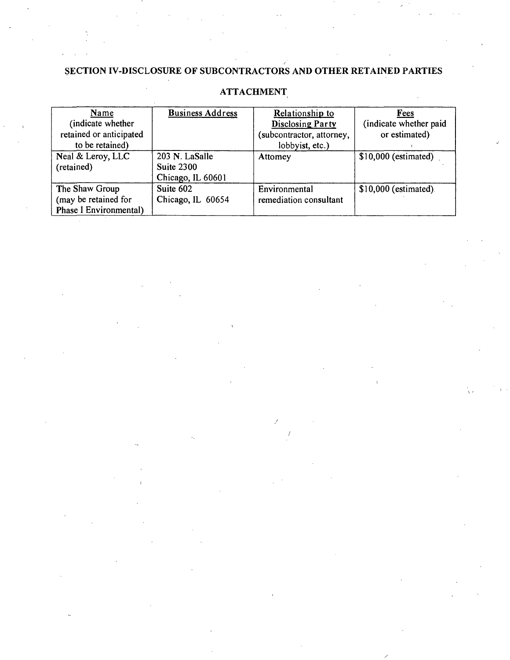# **SECTION IV-DISCLOSURE OF SUBCONTRACTORS AND OTHER RETAINED PARTIES**

| Name                                                             | <b>Business Address</b>                           | Relationship to                         | Fees                   |
|------------------------------------------------------------------|---------------------------------------------------|-----------------------------------------|------------------------|
| (indicate whether                                                |                                                   | <b>Disclosing Party</b>                 | (indicate whether paid |
| retained or anticipated                                          |                                                   | subcontractor, attorney,                | or estimated)          |
| to be retained)                                                  |                                                   | lobbyist, etc.)                         |                        |
| Neal & Leroy, LLC<br>(retained)                                  | 203 N. LaSalle<br>Suite 2300<br>Chicago, IL 60601 | Attomey                                 | $$10,000$ (estimated)  |
| The Shaw Group<br>(may be retained for<br>Phase I Environmental) | Suite 602<br>Chicago, IL 60654                    | Environmental<br>remediation consultant | \$10,000 (estimated).  |

# **ATTACHMENT**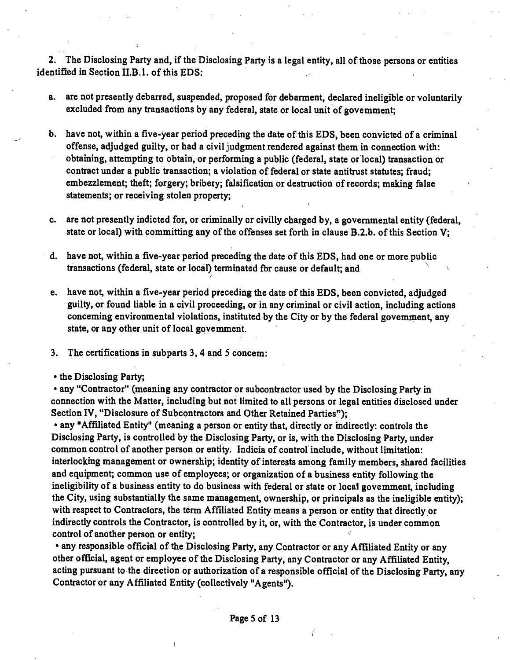**2. The Disclosing Party and, if the Disclosing Party is a legal entity, all of those persons or entities identified in Section II.B.1. of this EDS:** 

- **a. are not presently debarred, suspended, proposed for debarment, declared ineligible or voluntarily excluded from any transactions by any federal, state or local unit of govemment;**
- **b. have not, within a five-year period preceding the date of this EDS, been convicted of a criminal offense, adjudged guilty, or had a civil judgment rendered against them in connection with: obtaining, attempting to obtain, or performing a public (federal, state or local) transaction or**  contract under a public transaction; a violation of federal or state antitrust statutes; fraud; **embezzlement; theft; forgery; bribery; falsification or destruction of records; making false statements; or receiving stolen property;**
- **c. are not presently indicted for, or criminally or civilly charged by, a governmental entity (federal,**  state or local) with committing any of the offenses set forth in clause B.2.b. of this Section V;
- **d. have not, within a five-year period preceding the date of this EDS, had one or more public transactions (federal, state or local) terminated fbr cause or default; and ^ ^**
- **e. have not, within a five-year period preceding the date of this EDS, been convicted, adjudged guilty, or found liable in a civil proceeding, or in any criminal or civil action, including actions conceming environmental violations, instituted by the City or by the federal goveminent, any state, or any other unit of local govemment.**
- **3. The certifications in subparts 3,4 and 5 concem:**
- **the Disclosing Party;**

**• any "Contractor" (meaning any contractor or subcontractor used by the Disclosing Party in connection with the Matter, including but not limited to all persons or legal entities disclosed under Section IV, "Disclosure of Subcontractors and Other Retained Parties");** 

**• any "Affiliated Entity" (meaning a person or entity that, directly or mdirectly: controls the Disclosing Party, is controlled by the Disclosing Party, or is, with the Disclosing Party, under common control of another person or entity. Indicia of control include, without limitation:**  interlocking management or ownership; identity of interests among family members, shared facilities **and equipment; common use of employees; or organization of a business entity following the**  ineligibility of a business entity to do business with federal or state or local govemment, including **the City, using substantially the same management, ownership, or principals as the ineligible entity); with respect to Contractors, the term Affiliated Entity means a person or entity that directly or indirectly controls the Contractor, is controlled by it, or, with the Contractor, is under common control of another person or entity;** 

**• any responsible official of the Disclosing Party, any Contractor or any Affiliated Entity or any other official, agent or employee of the Disclosing Party, any Contractor or any Affiliated Entity,**  acting pursuant to the direction or authorization of a responsible official of the Disclosing Party, any **Contractor or any Affiliated Entity (collectively "Agents").**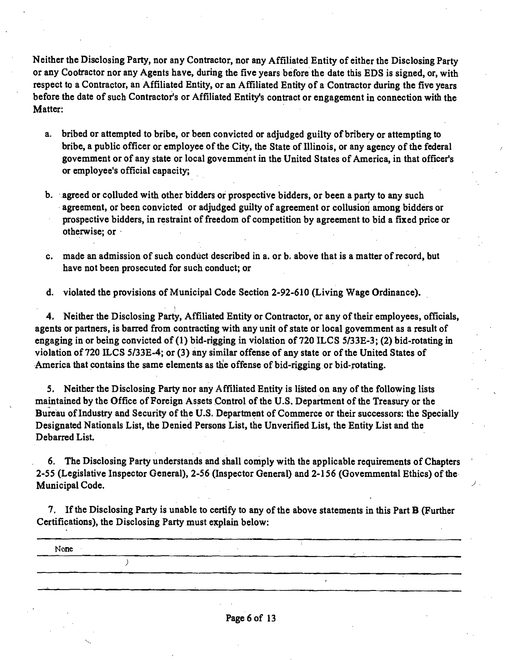**Neither the Disclosing Party, nor any Contractor, nor any Affiliated Entity of either the Disclosing Party**  or any Cootractor nor any Agents have, during the five years before the date this EDS is signed, or, with **respect to a Contractor, an Affiliated Entity, or an Affiliated Entity of a Contractor during the five years before the date of such Contractor's or Affiliated Entity's contract or engagement in connection with the Matter:** 

- **a. bribed or attempted to bribe, or been convicted or adjudged guilty of bribery or attempting to**  bribe, a public officer or employee of the City, the State of Illinois, or any agency of the federal **govemment or of any state or local govemment in the United States of America, in that officer's or employee's official capacity;**
- agreement, or been convicted or adjudged guilty of agreement or collusion among bidders or **b. agreed or colluded with other bidders or prospective bidders, or been a party to any such prospective bidders, in restraint of freedom of competition by agreement to bid a fixed price or otherwise; or**
- c. made an admission of such conduct described in a. or b. above that is a matter of record, but **have not been prosecuted for such conduct; or**

**d. violated the provisions of Municipal Code Section 2-92-610 (Living Wage Ordinance).** 

**4. Neither the Disclosing Party, Affiliated Entity or Contractor, or any of their employees, officials, agents or partners, is barred from contracting with any unit of state or local govemment as a result of engaging in or being convicted of (1) bid-rigging in violation of 720 ILCS 5/33E-3; (2) bid-rotating in violation of 720 ILCS 5/33E-4; or (3) any similar offense of any state or ofthe United States of America that contains the same elements as the offense of bid-rigging or bid-rotating.** 

**5. Neither the Disclosing Party nor any Affiliated Entity is listed on any ofthe following lists maintained by the Office of Foreign Assets Control of the U.S. Department of the Treasury or the Bureau of Industry and Security of the U.S. Department of Commerce or their successors: the Specially Designated Nationals List, the Denied Persons List, the Unverified List, the Entity List and the Debarred List.** 

**6. The Disclosing Party understands and shall comply with the applicable requirements of Chapters 2-55 (Legislative Inspector General), 2-5 6 (Inspector General) and 2-156 (Govemmental Ethics) of the Municipal Code.** 

**7. If the Disclosing Party is unable to certify to any of the above statements in this Part B (Further Certifications), the Disclosing Party must explain below:** 

**None** 

 $\rightarrow$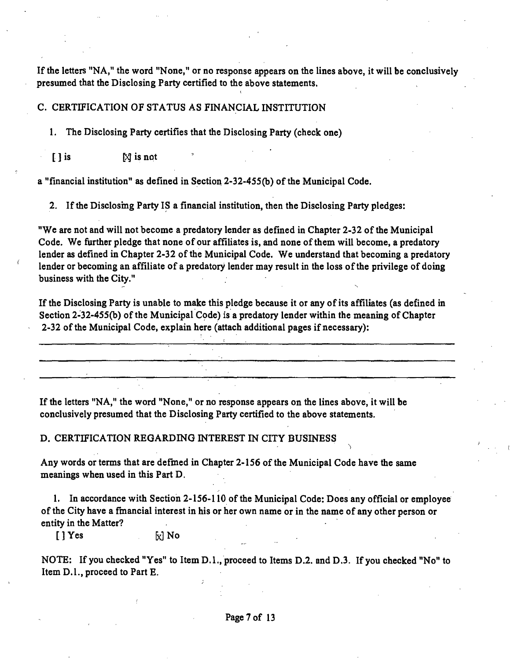If the letters "NA," the word "None," or no response appears on the lines above, it will be conclusively **presumed that the Disclosing Party certified to the above statements.** 

#### **C. CERTIFICATION OF STATUS AS FINANCIAL INSTITUTION**

**1. The Disclosing Party certifies that the Disclosing Party (check one)** 

**[ ] is \^ is npt** 

**a "financial institution" as defined in Section 2-32-455(b) ofthe Municipal Code.** 

**2. If the Disclosmg Party IS a financial institution, then the Disclosing Party pledges:** 

**"We are not and will not become a predatory lender as defined in Chapter 2-32 of the Municipal Code. We further pledge that none of our affiliates is, and none of them will become, a predatory**  lender as defined in Chapter 2-32 of the Municipal Code. We understand that becoming a predatory **lender or becoming an affiliate of a predatory lender may result in the loss of the privilege of doing business with the City."** 

If the Disclosing Party is unable to make this pledge because it or any of its affiliates (as defined in **Section 2-32-455(b) ofthe Municipal Code) is a predatory lender within the meaning of Chapter 2-32 ofthe Municipal Code, explain here (attach additional pages if necessary):** 

**If the letters "NA," the word "None," or no response appears on the lines above, it will be conclusively presumed that the Disclosing Party certified to the above statements.** 

**D. CERTIFICATION REGARDING INTEREST IN CITY BUSINESS** 

**Any words or terms that are defmed in Chapter 2-156 of the Municipal Code have the same meanings when used in this Part D.** 

**1, In accordance with Section 2-156-110 of the Municipal Code: Does any official or employee**  of the City have a financial interest in his or her own name or in the name of any other person or **entity in the Matter?** 

[] Yes **by E B** 

NOTE: If you checked "Yes" to Item D.1., proceed to Items D.2. and D.3. If you checked "No" to **Item D.l., proceed to Part E.**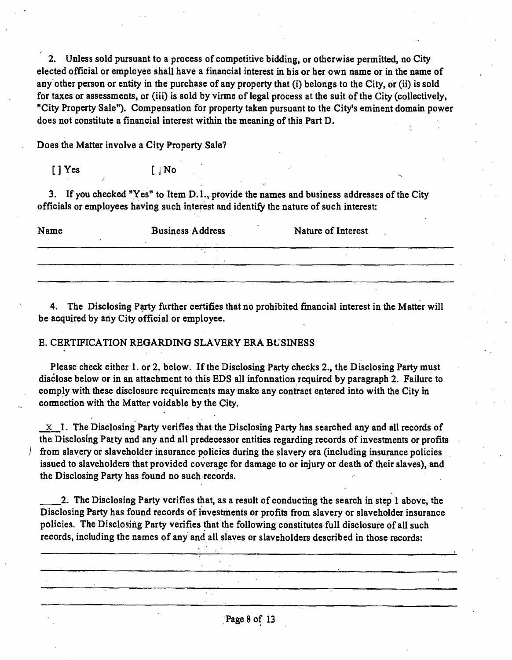**2. Unless sold pursuant to a process of competitive bidding, or otherwise permitted, no City elected official or employee shall have a financial interest in his or her own name or in the name of any other person or entity in the purchase of any property that (i) belongs to the City, or (ii) is sold**  for taxes or assessments, or (iii) is sold by virme of legal process at the suit of the City (collectively, **"City Property Sale"). Compensation for property taken pursuant to the City's eminent domain power does not constitute a financial interest within the meaning of this Part D.** 

**Does the Matter involve a City Property Sale?** 

**[ ] Yes [ i No** 

**3. If you checked "Yes" to Item D. 1 ..provide the names and business addresses ofthe City officials or employees having such interest and identify the nature of such interest:** 

| Name | <b>Business Address</b> | Nature of Interest |  |
|------|-------------------------|--------------------|--|
|      |                         |                    |  |
|      |                         |                    |  |

**4. The Disclosing Party further certifies that no prohibited fmancial interest in the Matter will be acquired by any City official or employee.** 

#### **E. CERTIFICATION REGARDING SLAVERY ERA BUSINESS**

**Please check either 1. or 2. below. If the Disclosing Party checks 2., the Disclosing Party must**  disclose below or in an attachment to this EDS all infonnation required by paragraph 2. Failure to **comply with these disclosure requirements may make any contract entered into with the City in cormection with the Matter voidable by the City.** 

**X I. The Disclosing Party verifies that the Disclosing Party has searched any and all records of the Disclosing Patty and any and all predecessor entities regarding records of investments or profits from slavery or slaveholder insurance policies during the slavery era (including insurance policies**  issued to slaveholders that provided coverage for damage to or injury or death of their slaves), and **the Disclosing Party has found no such records.** 

**2. The Disclosing Party verifies that, as a result of conducting the search in step 1 above, the Disclosing Party has found records of investments or profits from slavery or slaveholder insurance policies. The Disclosing Party verifies that the following constitutes full disclosure of all such records, including the names of any and all slaves or slaveholders described in those records:**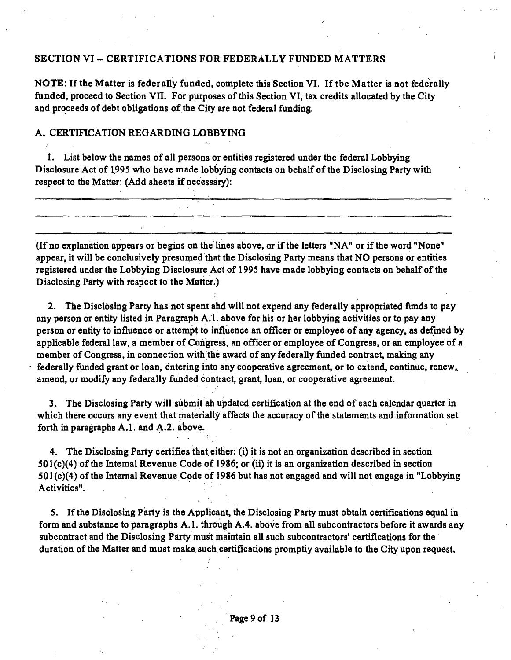#### **SECTION VI ~ CERTIFICATIONS FOR FEDERALLY FUNDED MATTERS**

**NOTE: If the Matter is federally funded, complete this Section VI. If tbe Matter is not federally funded, proceed to Section VII. For purposes of this Section VI, tax credits allocated by the City**  and proceeds of debt obligations of the City are not federal funding.

### **A. CERTIFICATION REGARDING LOBBYING r** *r*  $\vee$  *r*  $\vee$  *r*  $\vee$  *r*  $\vee$  *r*  $\vee$  *r*  $\vee$  *r*  $\vee$  *r*  $\vee$  *r*  $\vee$  *r*  $\vee$  *r*  $\vee$  *r*  $\vee$  *r*  $\vee$  *r*  $\vee$  *r*  $\vee$  *r*  $\vee$  *r*  $\vee$  *r*  $\vee$

**I. List below the names of all persons or entities registered under the federal Lobbying Disclosure Act of 1995 who have made lobbying contacts on behalf of the Disclosing Party with respect to the Matter: (Add sheets if necessary):** 

(If no explanation appears or begins on the lines above, or if the letters "NA" or if the word "None" **appear, it will be conclusively presumed that the Disclosing Party means that NO persons or entities registered under the Lobbying Disclosure Act of 1995 have made lobbying contacts on behalf of the Disclosing Party with respect to the Matter.)** 

**2. The Disclosing Party has not spent ahd will not expend any federally appropriated fimds to pay any person or entity listed in Paragraph A. l. above for his or her lobbying activities or to pay any person or entity to influence or attempt to influence an officer or employee of any agency, as defined by applicable federal law, a member of Congress, an officer or employee of Congress, or an employee of a member of Congress, in connection with the award of any federally funded contract, making any federally funded grant or loan, entering into any cooperative agreement, or to extend, continue, renew» amend, or modify any federally funded contract, grant, loan, or cooperative agreement,** 

**3. The Disclosing Party will submit ah updated certification at the end of each calendar quarter in which there occurs any event that materially affects the accuracy of the statements and information set**  forth in paragraphs A.1. and A.2. above.

**4. The Disclosing Party certifies that either: (i) it is not an organization described in section 501(c)(4) of the Intemal Revenue Code of 1986; or (ii) it is an organization described in section 501(c)(4) of the Internal Revenue Code of 1986 but has not engaged and will not engage in "Lobbying Activities".** 

**5. If the Disclosing Party is the Applicant, the Disclosing Party must obtain certifications equal in form and substance to paragraphs A.l. through A.4. above from all subcontractors before it awards any subcontract and the Disclosing Party must maintain all such subcontractors' certifications for the duration of the Matter and must make such certifications promptiy available to the City upon request.**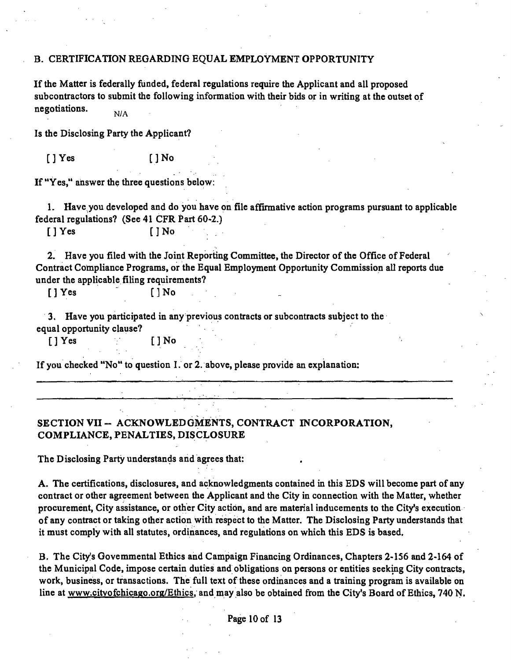#### **B. CERTIFICATION REGARDING EQUAL EMPLOYMENT OPPORTUNITY**

If the Matter is federally funded, federal regulations require the Applicant and all proposed subcontractors to submit the following information with their bids or in writing at the outset of **negotiations.**   $N/A$ 

**Is the Disclosing Party the Applicant?** 

**[]Yes []No** 

**If "Yes," answer the three questions below:** 

**1. Have you developed and do you have on file affirmative action programs pursuant to applicable federal regulations? (See 41 CFR Part 60-2.)** 

**[] Yes [JNo** 

**2. Have you filed with the Joint Reporting Committee, the Director of the Office of Federal Contract Compliance Programs, or the Equal Employment Opportunity Commission aU reports due under the applicable filing requirements?** 

**[]Yes ' [3No .** 

**3. Have you participated in any previous contracts or subcontracts subject to the equal opportunity clause?** 

**[] Yes []No** 

**If you checked "No" to question I. or 2. above, please provide an explanation:** 

# **SECTION VII - ACKNOWLEDGMENTS, CONTRACT INCORPORATION, COMPLIANCE, PENALTIES, DISCLOSURE**

**The Disclosing Party understands and agrees that:** 

**A. The certifications, disclosures, and acknowledgments contained in this EDS will become part of any contract or other agreement between the Applicant and the City in connection with the Matter, whether procurement, City assistance, or other City action, and are material inducements to the City's execution of any contract or taking other action with respect to the Matter. The Disclosing Party understands that it must comply with all statutes, ordinances, and regulations on which this EDS is based.** 

**B. The City's Govemmental Ethics and Campaign Financing Ordinances, Chapters 2-156 and 2-164 of the Municipal Code, impose certain duties and obligations on persons or entities seeking City contracts, work, business, or transactions. The full text of these ordinances and a training program is available on**  line at www.citvofchicago.org/Ethics, and may also be obtained from the City's Board of Ethics, 740 N.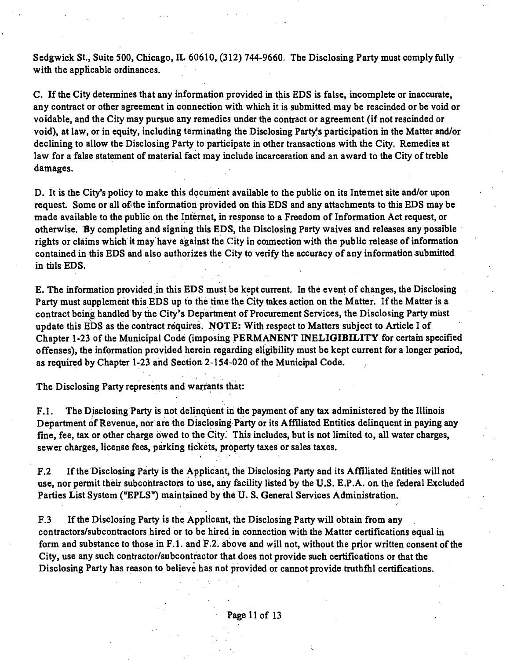Sedgwick St., Suite 500, Chicago, IL 60610, (312) 744-9660. The Disclosing Party must comply fully with the applicable ordinances.

C. If the City determines that any information provided in this EDS is false, incomplete or inaccurate, any contract or other agreement in connection with which it is submitted may be rescinded or be void or voidable, and the City may pursue any remedies under the contract or agreement (if not rescinded or void), at law, or in equity, including terminating the Disclosing Party^s participation in the Matter and/or declining to allow the Disclosing Party to participate in other transactions with the City. Remedies at law for a false statement of material fact may include incarceration and an award to the City of treble damages.

D. It is the City's policy to make this document available to the public on its Intemet site and/or upon request. Some or all of the information provided on this EDS and any attachments to this EDS may be made available to the public on the Internet, in response to a Freedom of Information Act request, or otherwise. By completing and signing tiiis EDS, the Disclosing Party waives and releases any possible rights or claims which it may have against the City in connection with the public release of information contained in this EDS and also authorizes the City to verify the accuracy of any information submitted in tills EDS.

E. The information provided in this EDS must be kept current. In the event of changes, the Disclosing Party must supplement this EDS up to the time the City takes action on the Matter. If the Matter is a contract being handled by the City's Department of Procurement Services, the Disclosing Party must update this EDS as the contract requires. NOTE: With respect to Matters subject to Article I of Chapter 1-23 of the Municipal Code (imposing PERMANENT INELIGIBILITY for certam specified offenses), the information provided herein regarding eligibility must be kept current for a longer period, as required by Chapter 1-23 and Section 2-154-020 of the Municipal Code.

The Disclosing Party represents and warrants that:

F.I. The Disclosing Party is not delinquent in the payment of any tax administered by the Illinois Department of Revenue, nor are the Disclosing Party or its Affiliated Entities delinquent in paying any fine, fee, tax or other charge owed to the City. This includes, but is not limited to, all water charges, sewer charges, license fees, parking tickets, property taxes or sales taxes.

F.2 If the Disclosing Party is the Applicant, the Disclosing Party and its Affiliated Entities will not use, nor permit their subcontractors to use, any facility listed by the U.S. E.P.A. on the federal Excluded Parties List System ("EPLS") maintained by the U. S, General Services Administration.

F.3 If the Disclosing Party is the Applicant, the Disclosing Party will obtain from any contractors/subcontractors hired or to be hired in connection with the Matter certifications equal in form and substance to those in F.1. and F.2, above and will not, without the prior written consent of the City, use any such contractor/subcontractor that does not provide such certifications or that the Disclosing Party has reason to believe has not provided or cannot provide truthfhl certifications.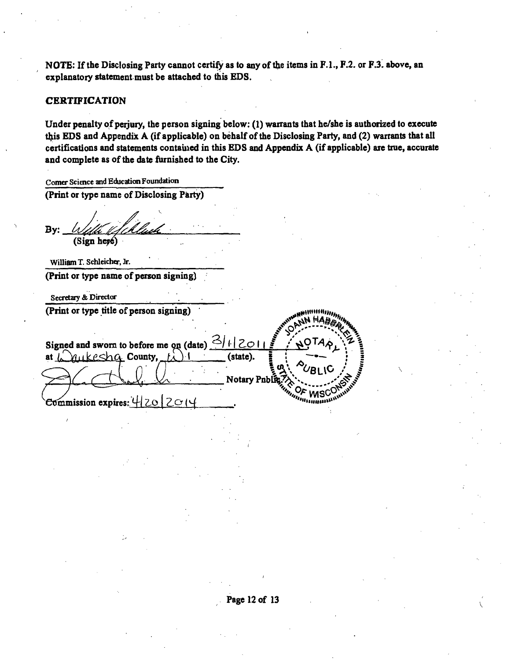**NOTE:** If the Disclosing Party cannot certify as to any of the items in F.1., F.2. or F.3. above, an **explanatory statement must be attached to this EDS.** 

#### **CERTIFICATION**

**Under penalty of perjury, the person signing below: (1) warrants that he/she is authorized to execute this EDS and Appendix A (if applicable) on behalf of the Disclosing Party, and (2) warrants that all certifications and statements contauied in this EDS and Appendix A (if applicable) ate true, accurate and complete as of the date furnished to the City.** 

**Comer Science and Education Foundation (Print or type name of Disclosing Party)**  By: With Ufchluch (Sign here) **William T. Schleicher, Jr. (Print or type name of person signing) Secretary & Director (Print or type title of person signing)**  Signed and sworn to before me on  $(\text{date})$   $\frac{3}{11}$  |  $2011$ at  $\int_{\gamma}^{\gamma}$  at  $\int_{\gamma}^{\gamma}$  at  $\alpha$  County,  $\int_{\gamma}^{\gamma}$   $\int_{\gamma}^{\gamma}$  (state). **Notary Pnblic Commission expires:**  $420$  **| 2**  $\circ$  **(4**